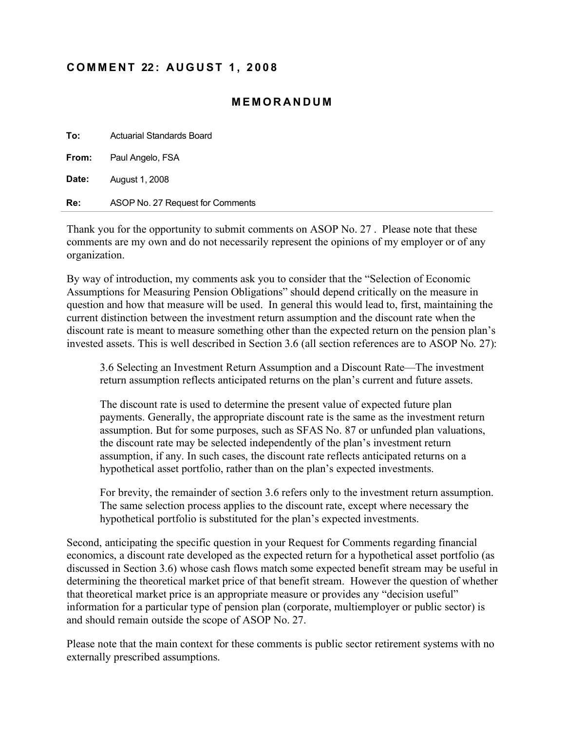## **C O M M E N T 22 : A U G U S T 1 , 2 0 0 8**

## **M E M O R A N D U M**

| To:   | <b>Actuarial Standards Board</b> |
|-------|----------------------------------|
|       | <b>From:</b> Paul Angelo, FSA    |
| Date: | August 1, 2008                   |
| Re:   | ASOP No. 27 Request for Comments |

Thank you for the opportunity to submit comments on ASOP No. 27 . Please note that these comments are my own and do not necessarily represent the opinions of my employer or of any organization.

By way of introduction, my comments ask you to consider that the "Selection of Economic Assumptions for Measuring Pension Obligations" should depend critically on the measure in question and how that measure will be used. In general this would lead to, first, maintaining the current distinction between the investment return assumption and the discount rate when the discount rate is meant to measure something other than the expected return on the pension plan's invested assets. This is well described in Section 3.6 (all section references are to ASOP No. 27):

3.6 Selecting an Investment Return Assumption and a Discount Rate—The investment return assumption reflects anticipated returns on the plan's current and future assets.

The discount rate is used to determine the present value of expected future plan payments. Generally, the appropriate discount rate is the same as the investment return assumption. But for some purposes, such as SFAS No. 87 or unfunded plan valuations, the discount rate may be selected independently of the plan's investment return assumption, if any. In such cases, the discount rate reflects anticipated returns on a hypothetical asset portfolio, rather than on the plan's expected investments.

For brevity, the remainder of section 3.6 refers only to the investment return assumption. The same selection process applies to the discount rate, except where necessary the hypothetical portfolio is substituted for the plan's expected investments.

Second, anticipating the specific question in your Request for Comments regarding financial economics, a discount rate developed as the expected return for a hypothetical asset portfolio (as discussed in Section 3.6) whose cash flows match some expected benefit stream may be useful in determining the theoretical market price of that benefit stream. However the question of whether that theoretical market price is an appropriate measure or provides any "decision useful" information for a particular type of pension plan (corporate, multiemployer or public sector) is and should remain outside the scope of ASOP No. 27.

Please note that the main context for these comments is public sector retirement systems with no externally prescribed assumptions.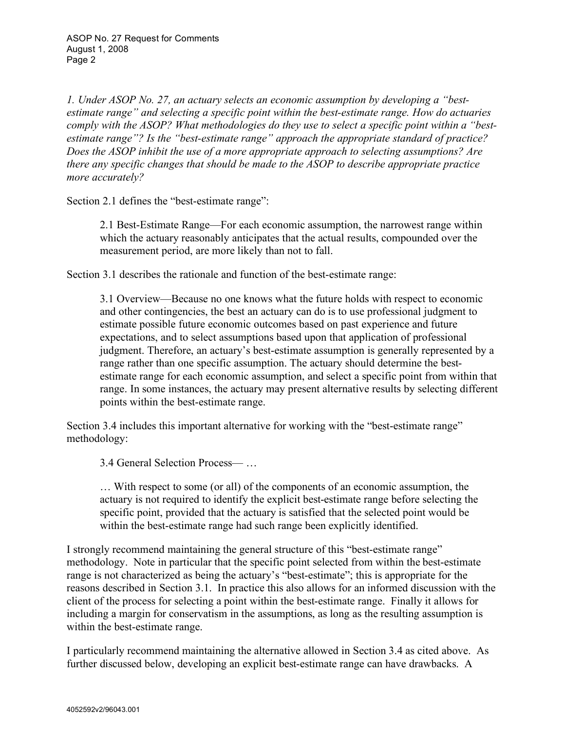*1. Under ASOP No. 27, an actuary selects an economic assumption by developing a "bestestimate range" and selecting a specific point within the best-estimate range. How do actuaries comply with the ASOP? What methodologies do they use to select a specific point within a "bestestimate range"? Is the "best-estimate range" approach the appropriate standard of practice? Does the ASOP inhibit the use of a more appropriate approach to selecting assumptions? Are there any specific changes that should be made to the ASOP to describe appropriate practice more accurately?* 

Section 2.1 defines the "best-estimate range":

2.1 Best-Estimate Range—For each economic assumption, the narrowest range within which the actuary reasonably anticipates that the actual results, compounded over the measurement period, are more likely than not to fall.

Section 3.1 describes the rationale and function of the best-estimate range:

3.1 Overview—Because no one knows what the future holds with respect to economic and other contingencies, the best an actuary can do is to use professional judgment to estimate possible future economic outcomes based on past experience and future expectations, and to select assumptions based upon that application of professional judgment. Therefore, an actuary's best-estimate assumption is generally represented by a range rather than one specific assumption. The actuary should determine the bestestimate range for each economic assumption, and select a specific point from within that range. In some instances, the actuary may present alternative results by selecting different points within the best-estimate range.

Section 3.4 includes this important alternative for working with the "best-estimate range" methodology:

3.4 General Selection Process— …

… With respect to some (or all) of the components of an economic assumption, the actuary is not required to identify the explicit best-estimate range before selecting the specific point, provided that the actuary is satisfied that the selected point would be within the best-estimate range had such range been explicitly identified.

I strongly recommend maintaining the general structure of this "best-estimate range" methodology. Note in particular that the specific point selected from within the best-estimate range is not characterized as being the actuary's "best-estimate"; this is appropriate for the reasons described in Section 3.1. In practice this also allows for an informed discussion with the client of the process for selecting a point within the best-estimate range. Finally it allows for including a margin for conservatism in the assumptions, as long as the resulting assumption is within the best-estimate range.

I particularly recommend maintaining the alternative allowed in Section 3.4 as cited above. As further discussed below, developing an explicit best-estimate range can have drawbacks. A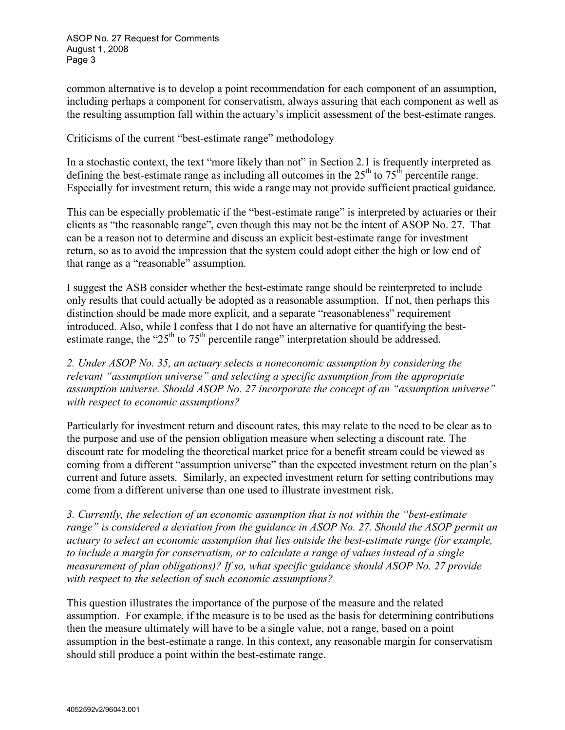common alternative is to develop a point recommendation for each component of an assumption, including perhaps a component for conservatism, always assuring that each component as well as the resulting assumption fall within the actuary's implicit assessment of the best-estimate ranges.

Criticisms of the current "best-estimate range" methodology

In a stochastic context, the text "more likely than not" in Section 2.1 is frequently interpreted as defining the best-estimate range as including all outcomes in the  $25<sup>th</sup>$  to  $75<sup>th</sup>$  percentile range. Especially for investment return, this wide a range may not provide sufficient practical guidance.

This can be especially problematic if the "best-estimate range" is interpreted by actuaries or their clients as "the reasonable range", even though this may not be the intent of ASOP No. 27. That can be a reason not to determine and discuss an explicit best-estimate range for investment return, so as to avoid the impression that the system could adopt either the high or low end of that range as a "reasonable" assumption.

I suggest the ASB consider whether the best-estimate range should be reinterpreted to include only results that could actually be adopted as a reasonable assumption. If not, then perhaps this distinction should be made more explicit, and a separate "reasonableness" requirement introduced. Also, while I confess that I do not have an alternative for quantifying the bestestimate range, the " $25<sup>th</sup>$  to  $75<sup>th</sup>$  percentile range" interpretation should be addressed.

*2. Under ASOP No. 35, an actuary selects a noneconomic assumption by considering the relevant "assumption universe" and selecting a specific assumption from the appropriate assumption universe. Should ASOP No. 27 incorporate the concept of an "assumption universe" with respect to economic assumptions?* 

Particularly for investment return and discount rates, this may relate to the need to be clear as to the purpose and use of the pension obligation measure when selecting a discount rate. The discount rate for modeling the theoretical market price for a benefit stream could be viewed as coming from a different "assumption universe" than the expected investment return on the plan's current and future assets. Similarly, an expected investment return for setting contributions may come from a different universe than one used to illustrate investment risk.

*3. Currently, the selection of an economic assumption that is not within the "best-estimate range" is considered a deviation from the guidance in ASOP No. 27. Should the ASOP permit an actuary to select an economic assumption that lies outside the best-estimate range (for example, to include a margin for conservatism, or to calculate a range of values instead of a single measurement of plan obligations)? If so, what specific guidance should ASOP No. 27 provide with respect to the selection of such economic assumptions?* 

This question illustrates the importance of the purpose of the measure and the related assumption. For example, if the measure is to be used as the basis for determining contributions then the measure ultimately will have to be a single value, not a range, based on a point assumption in the best-estimate a range. In this context, any reasonable margin for conservatism should still produce a point within the best-estimate range.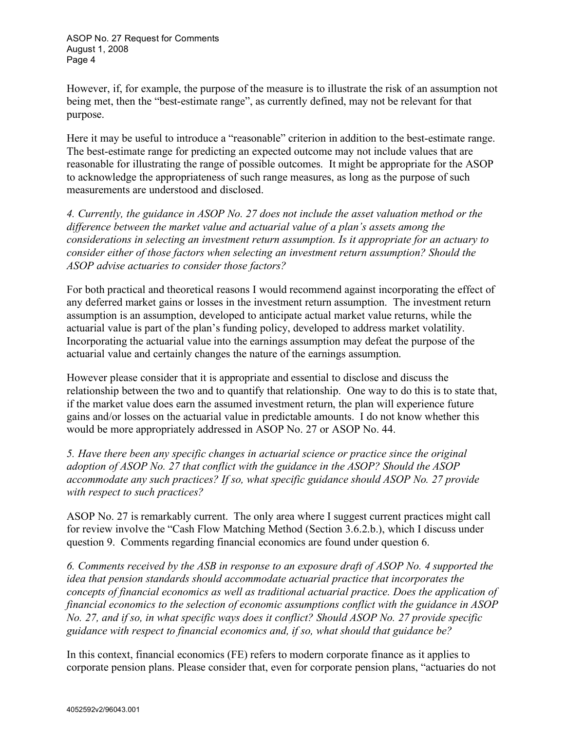ASOP No. 27 Request for Comments August 1, 2008 Page 4

However, if, for example, the purpose of the measure is to illustrate the risk of an assumption not being met, then the "best-estimate range", as currently defined, may not be relevant for that purpose.

Here it may be useful to introduce a "reasonable" criterion in addition to the best-estimate range. The best-estimate range for predicting an expected outcome may not include values that are reasonable for illustrating the range of possible outcomes. It might be appropriate for the ASOP to acknowledge the appropriateness of such range measures, as long as the purpose of such measurements are understood and disclosed.

*4. Currently, the guidance in ASOP No. 27 does not include the asset valuation method or the difference between the market value and actuarial value of a plan's assets among the considerations in selecting an investment return assumption. Is it appropriate for an actuary to consider either of those factors when selecting an investment return assumption? Should the ASOP advise actuaries to consider those factors?* 

For both practical and theoretical reasons I would recommend against incorporating the effect of any deferred market gains or losses in the investment return assumption. The investment return assumption is an assumption, developed to anticipate actual market value returns, while the actuarial value is part of the plan's funding policy, developed to address market volatility. Incorporating the actuarial value into the earnings assumption may defeat the purpose of the actuarial value and certainly changes the nature of the earnings assumption.

However please consider that it is appropriate and essential to disclose and discuss the relationship between the two and to quantify that relationship. One way to do this is to state that, if the market value does earn the assumed investment return, the plan will experience future gains and/or losses on the actuarial value in predictable amounts. I do not know whether this would be more appropriately addressed in ASOP No. 27 or ASOP No. 44.

*5. Have there been any specific changes in actuarial science or practice since the original adoption of ASOP No. 27 that conflict with the guidance in the ASOP? Should the ASOP accommodate any such practices? If so, what specific guidance should ASOP No. 27 provide with respect to such practices?* 

ASOP No. 27 is remarkably current. The only area where I suggest current practices might call for review involve the "Cash Flow Matching Method (Section 3.6.2.b.), which I discuss under question 9. Comments regarding financial economics are found under question 6.

*6. Comments received by the ASB in response to an exposure draft of ASOP No. 4 supported the idea that pension standards should accommodate actuarial practice that incorporates the concepts of financial economics as well as traditional actuarial practice. Does the application of financial economics to the selection of economic assumptions conflict with the guidance in ASOP No. 27, and if so, in what specific ways does it conflict? Should ASOP No. 27 provide specific guidance with respect to financial economics and, if so, what should that guidance be?*

In this context, financial economics (FE) refers to modern corporate finance as it applies to corporate pension plans. Please consider that, even for corporate pension plans, "actuaries do not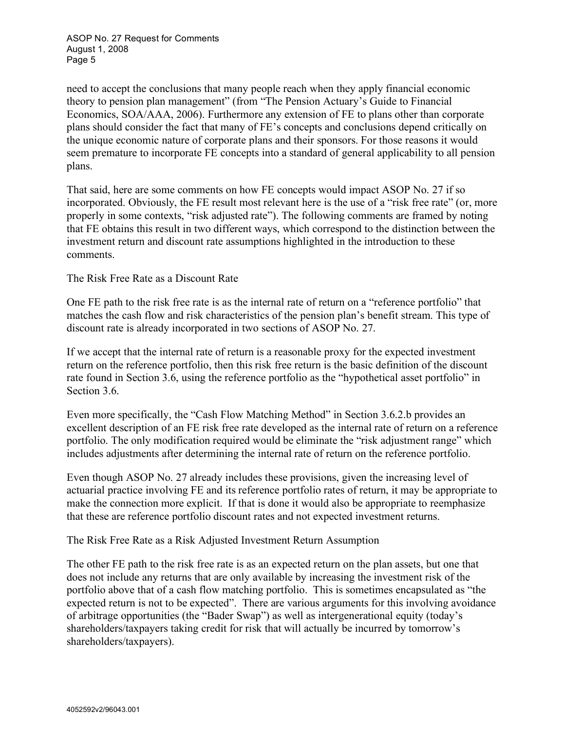ASOP No. 27 Request for Comments August 1, 2008 Page 5

need to accept the conclusions that many people reach when they apply financial economic theory to pension plan management" (from "The Pension Actuary's Guide to Financial Economics, SOA/AAA, 2006). Furthermore any extension of FE to plans other than corporate plans should consider the fact that many of FE's concepts and conclusions depend critically on the unique economic nature of corporate plans and their sponsors. For those reasons it would seem premature to incorporate FE concepts into a standard of general applicability to all pension plans.

That said, here are some comments on how FE concepts would impact ASOP No. 27 if so incorporated. Obviously, the FE result most relevant here is the use of a "risk free rate" (or, more properly in some contexts, "risk adjusted rate"). The following comments are framed by noting that FE obtains this result in two different ways, which correspond to the distinction between the investment return and discount rate assumptions highlighted in the introduction to these comments.

The Risk Free Rate as a Discount Rate

One FE path to the risk free rate is as the internal rate of return on a "reference portfolio" that matches the cash flow and risk characteristics of the pension plan's benefit stream. This type of discount rate is already incorporated in two sections of ASOP No. 27.

If we accept that the internal rate of return is a reasonable proxy for the expected investment return on the reference portfolio, then this risk free return is the basic definition of the discount rate found in Section 3.6, using the reference portfolio as the "hypothetical asset portfolio" in Section 3.6.

Even more specifically, the "Cash Flow Matching Method" in Section 3.6.2.b provides an excellent description of an FE risk free rate developed as the internal rate of return on a reference portfolio. The only modification required would be eliminate the "risk adjustment range" which includes adjustments after determining the internal rate of return on the reference portfolio.

Even though ASOP No. 27 already includes these provisions, given the increasing level of actuarial practice involving FE and its reference portfolio rates of return, it may be appropriate to make the connection more explicit. If that is done it would also be appropriate to reemphasize that these are reference portfolio discount rates and not expected investment returns.

The Risk Free Rate as a Risk Adjusted Investment Return Assumption

The other FE path to the risk free rate is as an expected return on the plan assets, but one that does not include any returns that are only available by increasing the investment risk of the portfolio above that of a cash flow matching portfolio. This is sometimes encapsulated as "the expected return is not to be expected". There are various arguments for this involving avoidance of arbitrage opportunities (the "Bader Swap") as well as intergenerational equity (today's shareholders/taxpayers taking credit for risk that will actually be incurred by tomorrow's shareholders/taxpayers).